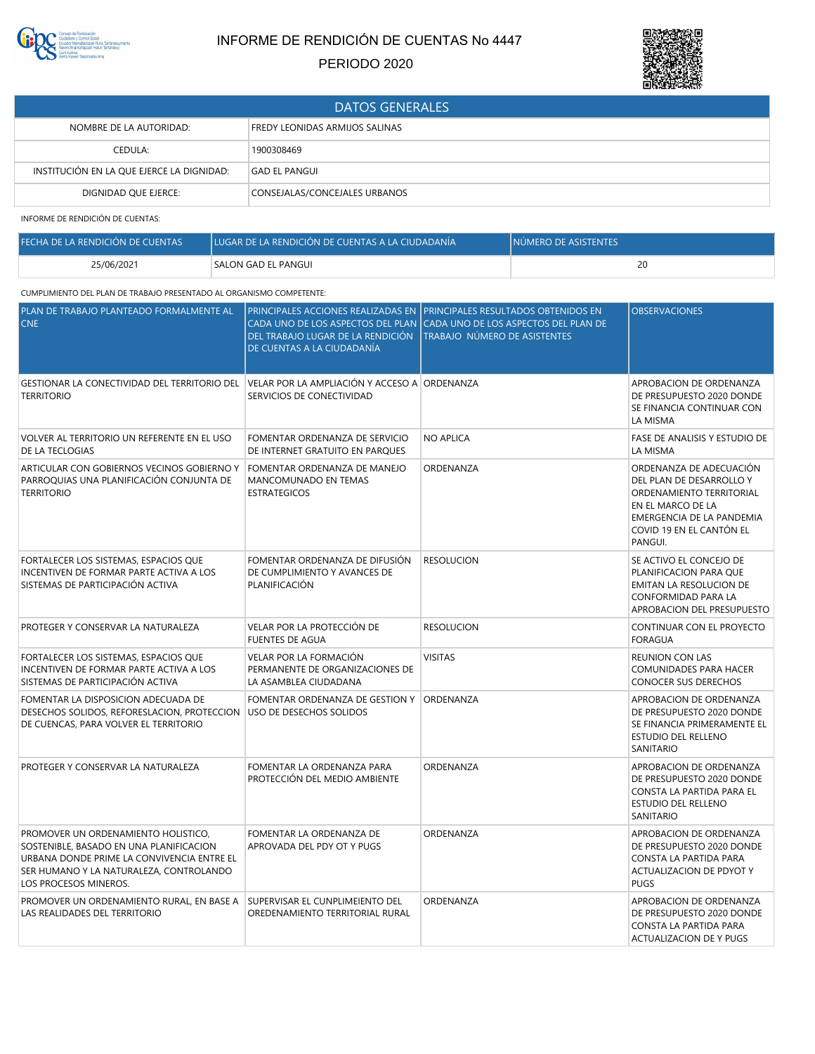

## INFORME DE RENDICIÓN DE CUENTAS No 4447

## PERIODO 2020



| <b>DATOS GENERALES</b>                    |                                       |  |
|-------------------------------------------|---------------------------------------|--|
| NOMBRE DE LA AUTORIDAD:                   | <b>FREDY LEONIDAS ARMIJOS SALINAS</b> |  |
| CEDULA:                                   | 1900308469                            |  |
| INSTITUCIÓN EN LA QUE EJERCE LA DIGNIDAD: | <b>GAD EL PANGUI</b>                  |  |
| DIGNIDAD QUE EJERCE:                      | CONSEJALAS/CONCEJALES URBANOS         |  |

INFORME DE RENDICIÓN DE CUENTAS:

| FECHA DE LA RENDICIÓN DE CUENTAS. | LUGAR DE LA RENDICIÓN DE CUENTAS A LA CIUDADANÍA | <b>INÚMERO DE ASISTENTES</b> |
|-----------------------------------|--------------------------------------------------|------------------------------|
| 25/06/2021                        | SALON GAD EL PANGUI                              | 20                           |

## CUMPLIMIENTO DEL PLAN DE TRABAJO PRESENTADO AL ORGANISMO COMPETENTE:

| PLAN DE TRABAJO PLANTEADO FORMALMENTE AL<br><b>CNE</b>                                                                                                                                           | DEL TRABAJO LUGAR DE LA RENDICIÓN<br>DE CUENTAS A LA CIUDADANÍA                    | PRINCIPALES ACCIONES REALIZADAS EN PRINCIPALES RESULTADOS OBTENIDOS EN<br>CADA UNO DE LOS ASPECTOS DEL PLAN (CADA UNO DE LOS ASPECTOS DEL PLAN DE<br>TRABAJO NÚMERO DE ASISTENTES | <b>OBSERVACIONES</b>                                                                                                                                                     |
|--------------------------------------------------------------------------------------------------------------------------------------------------------------------------------------------------|------------------------------------------------------------------------------------|-----------------------------------------------------------------------------------------------------------------------------------------------------------------------------------|--------------------------------------------------------------------------------------------------------------------------------------------------------------------------|
| GESTIONAR LA CONECTIVIDAD DEL TERRITORIO DEL<br><b>TERRITORIO</b>                                                                                                                                | VELAR POR LA AMPLIACIÓN Y ACCESO A ORDENANZA<br>SERVICIOS DE CONECTIVIDAD          |                                                                                                                                                                                   | APROBACION DE ORDENANZA<br>DE PRESUPUESTO 2020 DONDE<br>SE FINANCIA CONTINUAR CON<br>LA MISMA                                                                            |
| VOLVER AL TERRITORIO UN REFERENTE EN EL USO<br>DE LA TECLOGIAS                                                                                                                                   | FOMENTAR ORDENANZA DE SERVICIO<br>DE INTERNET GRATUITO EN PAROUES                  | <b>NO APLICA</b>                                                                                                                                                                  | FASE DE ANALISIS Y ESTUDIO DE<br>LA MISMA                                                                                                                                |
| ARTICULAR CON GOBIERNOS VECINOS GOBIERNO Y<br>PARROQUIAS UNA PLANIFICACIÓN CONJUNTA DE<br><b>TERRITORIO</b>                                                                                      | FOMENTAR ORDENANZA DE MANEJO<br>MANCOMUNADO EN TEMAS<br><b>ESTRATEGICOS</b>        | ORDENANZA                                                                                                                                                                         | ORDENANZA DE ADECUACIÓN<br>DEL PLAN DE DESARROLLO Y<br>ORDENAMIENTO TERRITORIAL<br>EN EL MARCO DE LA<br>EMERGENCIA DE LA PANDEMIA<br>COVID 19 EN EL CANTÓN EL<br>PANGUI. |
| FORTALECER LOS SISTEMAS, ESPACIOS QUE<br>INCENTIVEN DE FORMAR PARTE ACTIVA A LOS<br>SISTEMAS DE PARTICIPACIÓN ACTIVA                                                                             | FOMENTAR ORDENANZA DE DIFUSIÓN<br>DE CUMPLIMIENTO Y AVANCES DE<br>PLANIFICACIÓN    | <b>RESOLUCION</b>                                                                                                                                                                 | SE ACTIVO EL CONCEJO DE<br>PLANIFICACION PARA QUE<br>EMITAN LA RESOLUCION DE<br>CONFORMIDAD PARA LA<br>APROBACION DEL PRESUPUESTO                                        |
| PROTEGER Y CONSERVAR LA NATURALEZA                                                                                                                                                               | VELAR POR LA PROTECCIÓN DE<br><b>FUENTES DE AGUA</b>                               | <b>RESOLUCION</b>                                                                                                                                                                 | CONTINUAR CON EL PROYECTO<br><b>FORAGUA</b>                                                                                                                              |
| FORTALECER LOS SISTEMAS, ESPACIOS QUE<br>INCENTIVEN DE FORMAR PARTE ACTIVA A LOS<br>SISTEMAS DE PARTICIPACIÓN ACTIVA                                                                             | VELAR POR LA FORMACIÓN<br>PERMANENTE DE ORGANIZACIONES DE<br>LA ASAMBLEA CIUDADANA | <b>VISITAS</b>                                                                                                                                                                    | <b>REUNION CON LAS</b><br>COMUNIDADES PARA HACER<br>CONOCER SUS DERECHOS                                                                                                 |
| FOMENTAR LA DISPOSICION ADECUADA DE<br>DESECHOS SOLIDOS, REFORESLACION, PROTECCION USO DE DESECHOS SOLIDOS<br>DE CUENCAS, PARA VOLVER EL TERRITORIO                                              | FOMENTAR ORDENANZA DE GESTION Y   ORDENANZA                                        |                                                                                                                                                                                   | APROBACION DE ORDENANZA<br>DE PRESUPUESTO 2020 DONDE<br>SE FINANCIA PRIMERAMENTE EL<br>ESTUDIO DEL RELLENO<br>SANITARIO                                                  |
| PROTEGER Y CONSERVAR LA NATURALEZA                                                                                                                                                               | FOMENTAR LA ORDENANZA PARA<br>PROTECCIÓN DEL MEDIO AMBIENTE                        | ORDENANZA                                                                                                                                                                         | APROBACION DE ORDENANZA<br>DE PRESUPUESTO 2020 DONDE<br>CONSTA LA PARTIDA PARA EL<br>ESTUDIO DEL RELLENO<br>SANITARIO                                                    |
| PROMOVER UN ORDENAMIENTO HOLISTICO,<br>SOSTENIBLE, BASADO EN UNA PLANIFICACION<br>URBANA DONDE PRIME LA CONVIVENCIA ENTRE EL<br>SER HUMANO Y LA NATURALEZA, CONTROLANDO<br>LOS PROCESOS MINEROS. | FOMENTAR LA ORDENANZA DE<br>APROVADA DEL PDY OT Y PUGS                             | ORDENANZA                                                                                                                                                                         | APROBACION DE ORDENANZA<br>DE PRESUPUESTO 2020 DONDE<br>CONSTA LA PARTIDA PARA<br>ACTUALIZACION DE PDYOT Y<br><b>PUGS</b>                                                |
| PROMOVER UN ORDENAMIENTO RURAL, EN BASE A<br>LAS REALIDADES DEL TERRITORIO                                                                                                                       | SUPERVISAR EL CUNPLIMEIENTO DEL<br>OREDENAMIENTO TERRITORIAL RURAL                 | ORDENANZA                                                                                                                                                                         | APROBACION DE ORDENANZA<br>DE PRESUPUESTO 2020 DONDE<br>CONSTA LA PARTIDA PARA<br><b>ACTUALIZACION DE Y PUGS</b>                                                         |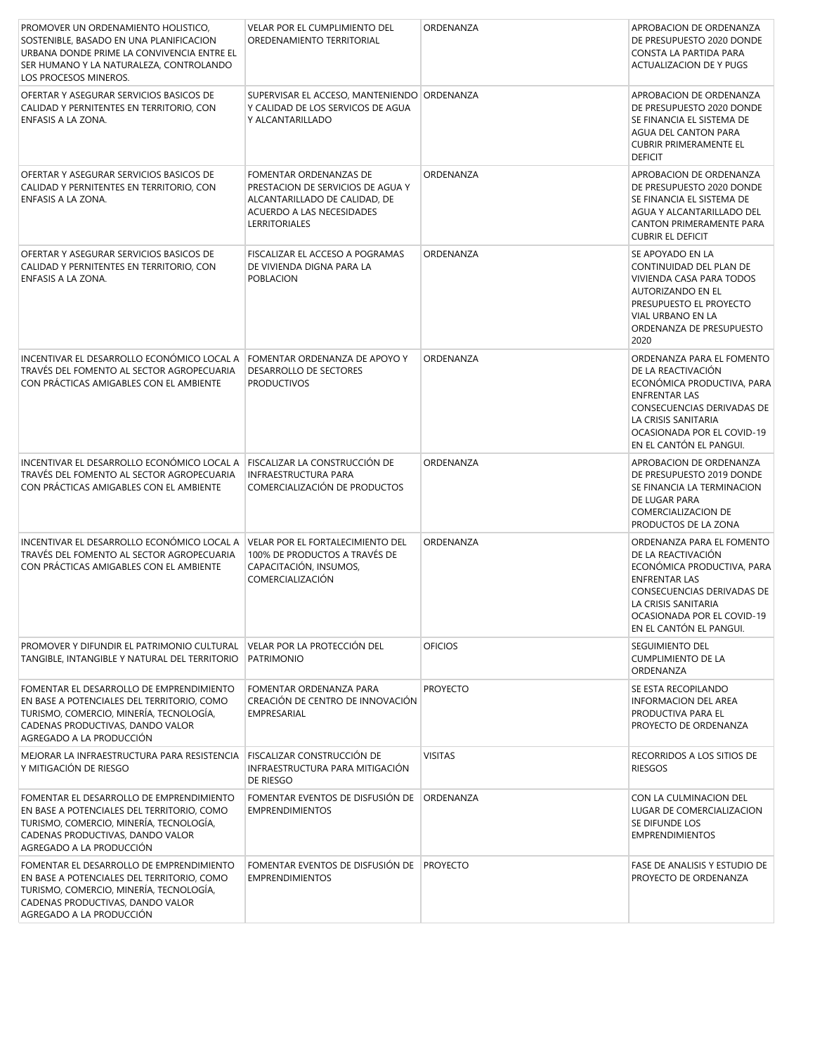| PROMOVER UN ORDENAMIENTO HOLISTICO,<br>SOSTENIBLE, BASADO EN UNA PLANIFICACION<br>URBANA DONDE PRIME LA CONVIVENCIA ENTRE EL<br>SER HUMANO Y LA NATURALEZA, CONTROLANDO<br>LOS PROCESOS MINEROS.  | <b>VELAR POR EL CUMPLIMIENTO DEL</b><br>OREDENAMIENTO TERRITORIAL                                                                          | ORDENANZA       | APROBACION DE ORDENANZA<br>DE PRESUPUESTO 2020 DONDE<br>CONSTA LA PARTIDA PARA<br>ACTUALIZACION DE Y PUGS                                                                                                           |
|---------------------------------------------------------------------------------------------------------------------------------------------------------------------------------------------------|--------------------------------------------------------------------------------------------------------------------------------------------|-----------------|---------------------------------------------------------------------------------------------------------------------------------------------------------------------------------------------------------------------|
| OFERTAR Y ASEGURAR SERVICIOS BASICOS DE<br>CALIDAD Y PERNITENTES EN TERRITORIO, CON<br>ENFASIS A LA ZONA.                                                                                         | SUPERVISAR EL ACCESO, MANTENIENDO ORDENANZA<br>Y CALIDAD DE LOS SERVICOS DE AGUA<br>Y ALCANTARILLADO                                       |                 | APROBACION DE ORDENANZA<br>DE PRESUPUESTO 2020 DONDE<br>SE FINANCIA EL SISTEMA DE<br>AGUA DEL CANTON PARA<br><b>CUBRIR PRIMERAMENTE EL</b><br><b>DEFICIT</b>                                                        |
| OFERTAR Y ASEGURAR SERVICIOS BASICOS DE<br>CALIDAD Y PERNITENTES EN TERRITORIO, CON<br>ENFASIS A LA ZONA.                                                                                         | FOMENTAR ORDENANZAS DE<br>PRESTACION DE SERVICIOS DE AGUA Y<br>ALCANTARILLADO DE CALIDAD, DE<br>ACUERDO A LAS NECESIDADES<br>LERRITORIALES | ORDENANZA       | APROBACION DE ORDENANZA<br>DE PRESUPUESTO 2020 DONDE<br>SE FINANCIA EL SISTEMA DE<br>AGUA Y ALCANTARILLADO DEL<br>CANTON PRIMERAMENTE PARA<br><b>CUBRIR EL DEFICIT</b>                                              |
| OFERTAR Y ASEGURAR SERVICIOS BASICOS DE<br>CALIDAD Y PERNITENTES EN TERRITORIO, CON<br>ENFASIS A LA ZONA.                                                                                         | FISCALIZAR EL ACCESO A POGRAMAS<br>DE VIVIENDA DIGNA PARA LA<br><b>POBLACION</b>                                                           | ORDENANZA       | SE APOYADO EN LA<br>CONTINUIDAD DEL PLAN DE<br>VIVIENDA CASA PARA TODOS<br>AUTORIZANDO EN EL<br>PRESUPUESTO EL PROYECTO<br>VIAL URBANO EN LA<br>ORDENANZA DE PRESUPUESTO<br>2020                                    |
| INCENTIVAR EL DESARROLLO ECONÓMICO LOCAL A<br>TRAVÉS DEL FOMENTO AL SECTOR AGROPECUARIA<br>CON PRÁCTICAS AMIGABLES CON EL AMBIENTE                                                                | FOMENTAR ORDENANZA DE APOYO Y<br>DESARROLLO DE SECTORES<br><b>PRODUCTIVOS</b>                                                              | ORDENANZA       | ORDENANZA PARA EL FOMENTO<br>DE LA REACTIVACIÓN<br>ECONÓMICA PRODUCTIVA, PARA<br><b>ENFRENTAR LAS</b><br>CONSECUENCIAS DERIVADAS DE<br>LA CRISIS SANITARIA<br>OCASIONADA POR EL COVID-19<br>EN EL CANTÓN EL PANGUI. |
| INCENTIVAR EL DESARROLLO ECONÓMICO LOCAL A<br>TRAVÉS DEL FOMENTO AL SECTOR AGROPECUARIA<br>CON PRÁCTICAS AMIGABLES CON EL AMBIENTE                                                                | FISCALIZAR LA CONSTRUCCIÓN DE<br><b>INFRAESTRUCTURA PARA</b><br>COMERCIALIZACIÓN DE PRODUCTOS                                              | ORDENANZA       | APROBACION DE ORDENANZA<br>DE PRESUPUESTO 2019 DONDE<br>SE FINANCIA LA TERMINACION<br>DE LUGAR PARA<br>COMERCIALIZACION DE<br>PRODUCTOS DE LA ZONA                                                                  |
| INCENTIVAR EL DESARROLLO ECONÓMICO LOCAL A<br>TRAVÉS DEL FOMENTO AL SECTOR AGROPECUARIA<br>CON PRÁCTICAS AMIGABLES CON EL AMBIENTE                                                                | <b>VELAR POR EL FORTALECIMIENTO DEL</b><br>100% DE PRODUCTOS A TRAVÉS DE<br>CAPACITACIÓN, INSUMOS,<br>COMERCIALIZACIÓN                     | ORDENANZA       | ORDENANZA PARA EL FOMENTO<br>DE LA REACTIVACIÓN<br>ECONÓMICA PRODUCTIVA, PARA<br><b>ENFRENTAR LAS</b><br>CONSECUENCIAS DERIVADAS DE<br>LA CRISIS SANITARIA<br>OCASIONADA POR EL COVID-19<br>EN EL CANTÓN EL PANGUI. |
| PROMOVER Y DIFUNDIR EL PATRIMONIO CULTURAL<br>TANGIBLE, INTANGIBLE Y NATURAL DEL TERRITORIO                                                                                                       | VELAR POR LA PROTECCIÓN DEL<br>PATRIMONIO                                                                                                  | <b>OFICIOS</b>  | <b>SEGUIMIENTO DEL</b><br><b>CUMPLIMIENTO DE LA</b><br>ORDENANZA                                                                                                                                                    |
| FOMENTAR EL DESARROLLO DE EMPRENDIMIENTO<br>EN BASE A POTENCIALES DEL TERRITORIO, COMO<br>TURISMO, COMERCIO, MINERÍA, TECNOLOGÍA,<br>CADENAS PRODUCTIVAS, DANDO VALOR<br>AGREGADO A LA PRODUCCIÓN | FOMENTAR ORDENANZA PARA<br>CREACIÓN DE CENTRO DE INNOVACIÓN<br>EMPRESARIAL                                                                 | <b>PROYECTO</b> | SE ESTA RECOPILANDO<br><b>INFORMACION DEL AREA</b><br>PRODUCTIVA PARA EL<br>PROYECTO DE ORDENANZA                                                                                                                   |
| MEJORAR LA INFRAESTRUCTURA PARA RESISTENCIA<br>Y MITIGACIÓN DE RIESGO                                                                                                                             | FISCALIZAR CONSTRUCCIÓN DE<br>INFRAESTRUCTURA PARA MITIGACIÓN<br>DE RIESGO                                                                 | <b>VISITAS</b>  | RECORRIDOS A LOS SITIOS DE<br><b>RIESGOS</b>                                                                                                                                                                        |
| FOMENTAR EL DESARROLLO DE EMPRENDIMIENTO<br>EN BASE A POTENCIALES DEL TERRITORIO, COMO<br>TURISMO, COMERCIO, MINERÍA, TECNOLOGÍA,<br>CADENAS PRODUCTIVAS, DANDO VALOR<br>AGREGADO A LA PRODUCCIÓN | FOMENTAR EVENTOS DE DISFUSIÓN DE<br><b>EMPRENDIMIENTOS</b>                                                                                 | ORDENANZA       | CON LA CULMINACION DEL<br>LUGAR DE COMERCIALIZACION<br>SE DIFUNDE LOS<br><b>EMPRENDIMIENTOS</b>                                                                                                                     |
| FOMENTAR EL DESARROLLO DE EMPRENDIMIENTO<br>EN BASE A POTENCIALES DEL TERRITORIO, COMO<br>TURISMO, COMERCIO, MINERÍA, TECNOLOGÍA,<br>CADENAS PRODUCTIVAS, DANDO VALOR<br>AGREGADO A LA PRODUCCIÓN | FOMENTAR EVENTOS DE DISFUSIÓN DE<br><b>EMPRENDIMIENTOS</b>                                                                                 | <b>PROYECTO</b> | FASE DE ANALISIS Y ESTUDIO DE<br>PROYECTO DE ORDENANZA                                                                                                                                                              |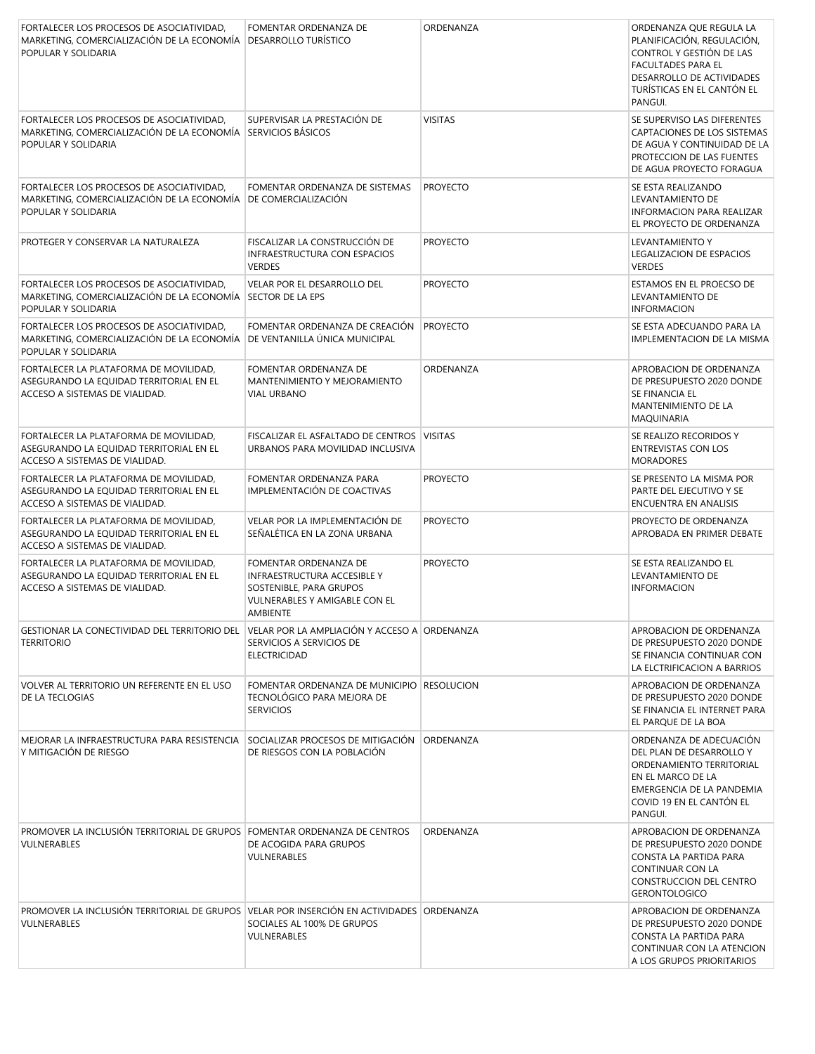| FORTALECER LOS PROCESOS DE ASOCIATIVIDAD,<br>MARKETING, COMERCIALIZACIÓN DE LA ECONOMÍA<br>POPULAR Y SOLIDARIA                   | FOMENTAR ORDENANZA DE<br><b>DESARROLLO TURÍSTICO</b>                                                                                | ORDENANZA       | ORDENANZA QUE REGULA LA<br>PLANIFICACIÓN, REGULACIÓN,<br>CONTROL Y GESTIÓN DE LAS<br><b>FACULTADES PARA EL</b><br>DESARROLLO DE ACTIVIDADES<br>TURÍSTICAS EN EL CANTÓN EL<br>PANGUI. |
|----------------------------------------------------------------------------------------------------------------------------------|-------------------------------------------------------------------------------------------------------------------------------------|-----------------|--------------------------------------------------------------------------------------------------------------------------------------------------------------------------------------|
| FORTALECER LOS PROCESOS DE ASOCIATIVIDAD,<br>MARKETING, COMERCIALIZACIÓN DE LA ECONOMÍA SERVICIOS BÁSICOS<br>POPULAR Y SOLIDARIA | SUPERVISAR LA PRESTACIÓN DE                                                                                                         | <b>VISITAS</b>  | SE SUPERVISO LAS DIFERENTES<br>CAPTACIONES DE LOS SISTEMAS<br>DE AGUA Y CONTINUIDAD DE LA<br>PROTECCION DE LAS FUENTES<br>DE AGUA PROYECTO FORAGUA                                   |
| FORTALECER LOS PROCESOS DE ASOCIATIVIDAD,<br>MARKETING, COMERCIALIZACIÓN DE LA ECONOMÍA<br>POPULAR Y SOLIDARIA                   | FOMENTAR ORDENANZA DE SISTEMAS<br><b>DE COMERCIALIZACIÓN</b>                                                                        | <b>PROYECTO</b> | SE ESTA REALIZANDO<br>LEVANTAMIENTO DE<br><b>INFORMACION PARA REALIZAR</b><br>EL PROYECTO DE ORDENANZA                                                                               |
| PROTEGER Y CONSERVAR LA NATURALEZA                                                                                               | FISCALIZAR LA CONSTRUCCIÓN DE<br><b>INFRAESTRUCTURA CON ESPACIOS</b><br><b>VERDES</b>                                               | <b>PROYECTO</b> | LEVANTAMIENTO Y<br>LEGALIZACION DE ESPACIOS<br><b>VERDES</b>                                                                                                                         |
| FORTALECER LOS PROCESOS DE ASOCIATIVIDAD,<br>MARKETING, COMERCIALIZACIÓN DE LA ECONOMÍA<br>POPULAR Y SOLIDARIA                   | VELAR POR EL DESARROLLO DEL<br>SECTOR DE LA EPS                                                                                     | <b>PROYECTO</b> | ESTAMOS EN EL PROECSO DE<br>LEVANTAMIENTO DE<br><b>INFORMACION</b>                                                                                                                   |
| FORTALECER LOS PROCESOS DE ASOCIATIVIDAD.<br>MARKETING, COMERCIALIZACIÓN DE LA ECONOMÍA<br>POPULAR Y SOLIDARIA                   | FOMENTAR ORDENANZA DE CREACIÓN<br>DE VENTANILLA ÚNICA MUNICIPAL                                                                     | <b>PROYECTO</b> | SE ESTA ADECUANDO PARA LA<br>IMPLEMENTACION DE LA MISMA                                                                                                                              |
| FORTALECER LA PLATAFORMA DE MOVILIDAD,<br>ASEGURANDO LA EQUIDAD TERRITORIAL EN EL<br>ACCESO A SISTEMAS DE VIALIDAD.              | FOMENTAR ORDENANZA DE<br>MANTENIMIENTO Y MEJORAMIENTO<br>VIAL URBANO                                                                | ORDENANZA       | APROBACION DE ORDENANZA<br>DE PRESUPUESTO 2020 DONDE<br>SE FINANCIA EL<br>MANTENIMIENTO DE LA<br><b>MAQUINARIA</b>                                                                   |
| FORTALECER LA PLATAFORMA DE MOVILIDAD,<br>ASEGURANDO LA EQUIDAD TERRITORIAL EN EL<br>ACCESO A SISTEMAS DE VIALIDAD.              | FISCALIZAR EL ASFALTADO DE CENTROS VISITAS<br>URBANOS PARA MOVILIDAD INCLUSIVA                                                      |                 | SE REALIZO RECORIDOS Y<br><b>ENTREVISTAS CON LOS</b><br><b>MORADORES</b>                                                                                                             |
| FORTALECER LA PLATAFORMA DE MOVILIDAD,<br>ASEGURANDO LA EQUIDAD TERRITORIAL EN EL<br>ACCESO A SISTEMAS DE VIALIDAD.              | FOMENTAR ORDENANZA PARA<br>IMPLEMENTACIÓN DE COACTIVAS                                                                              | <b>PROYECTO</b> | SE PRESENTO LA MISMA POR<br>PARTE DEL EJECUTIVO Y SE<br>ENCUENTRA EN ANALISIS                                                                                                        |
| FORTALECER LA PLATAFORMA DE MOVILIDAD,<br>ASEGURANDO LA EQUIDAD TERRITORIAL EN EL<br>ACCESO A SISTEMAS DE VIALIDAD.              | VELAR POR LA IMPLEMENTACIÓN DE<br>SEÑALÉTICA EN LA ZONA URBANA                                                                      | <b>PROYECTO</b> | PROYECTO DE ORDENANZA<br>APROBADA EN PRIMER DEBATE                                                                                                                                   |
| FORTALECER LA PLATAFORMA DE MOVILIDAD,<br>ASEGURANDO LA EQUIDAD TERRITORIAL EN EL<br>ACCESO A SISTEMAS DE VIALIDAD.              | FOMENTAR ORDENANZA DE<br>INFRAESTRUCTURA ACCESIBLE Y<br>SOSTENIBLE, PARA GRUPOS<br>VULNERABLES Y AMIGABLE CON EL<br><b>AMBIENTE</b> | <b>PROYECTO</b> | SE ESTA REALIZANDO EL<br>LEVANTAMIENTO DE<br><b>INFORMACION</b>                                                                                                                      |
| GESTIONAR LA CONECTIVIDAD DEL TERRITORIO DEL<br><b>TERRITORIO</b>                                                                | VELAR POR LA AMPLIACIÓN Y ACCESO A ORDENANZA<br>SERVICIOS A SERVICIOS DE<br>ELECTRICIDAD                                            |                 | APROBACION DE ORDENANZA<br>DE PRESUPUESTO 2020 DONDE<br>SE FINANCIA CONTINUAR CON<br>LA ELCTRIFICACION A BARRIOS                                                                     |
| VOLVER AL TERRITORIO UN REFERENTE EN EL USO<br>DE LA TECLOGIAS                                                                   | FOMENTAR ORDENANZA DE MUNICIPIO   RESOLUCION<br>TECNOLÓGICO PARA MEJORA DE<br><b>SERVICIOS</b>                                      |                 | APROBACION DE ORDENANZA<br>DE PRESUPUESTO 2020 DONDE<br>SE FINANCIA EL INTERNET PARA<br>EL PARQUE DE LA BOA                                                                          |
| MEJORAR LA INFRAESTRUCTURA PARA RESISTENCIA<br>Y MITIGACIÓN DE RIESGO                                                            | SOCIALIZAR PROCESOS DE MITIGACIÓN ORDENANZA<br>DE RIESGOS CON LA POBLACIÓN                                                          |                 | ORDENANZA DE ADECUACIÓN<br>DEL PLAN DE DESARROLLO Y<br>ORDENAMIENTO TERRITORIAL<br>EN EL MARCO DE LA<br>EMERGENCIA DE LA PANDEMIA<br>COVID 19 EN EL CANTÓN EL<br>PANGUI.             |
| PROMOVER LA INCLUSIÓN TERRITORIAL DE GRUPOS FOMENTAR ORDENANZA DE CENTROS<br>VULNERABLES                                         | DE ACOGIDA PARA GRUPOS<br>VULNERABLES                                                                                               | ORDENANZA       | APROBACION DE ORDENANZA<br>DE PRESUPUESTO 2020 DONDE<br>CONSTA LA PARTIDA PARA<br>CONTINUAR CON LA<br>CONSTRUCCION DEL CENTRO<br><b>GERONTOLOGICO</b>                                |
| PROMOVER LA INCLUSIÓN TERRITORIAL DE GRUPOS VELAR POR INSERCIÓN EN ACTIVIDADES ORDENANZA<br>VULNERABLES                          | SOCIALES AL 100% DE GRUPOS<br>VULNERABLES                                                                                           |                 | APROBACION DE ORDENANZA<br>DE PRESUPUESTO 2020 DONDE<br>CONSTA LA PARTIDA PARA<br>CONTINUAR CON LA ATENCION<br>A LOS GRUPOS PRIORITARIOS                                             |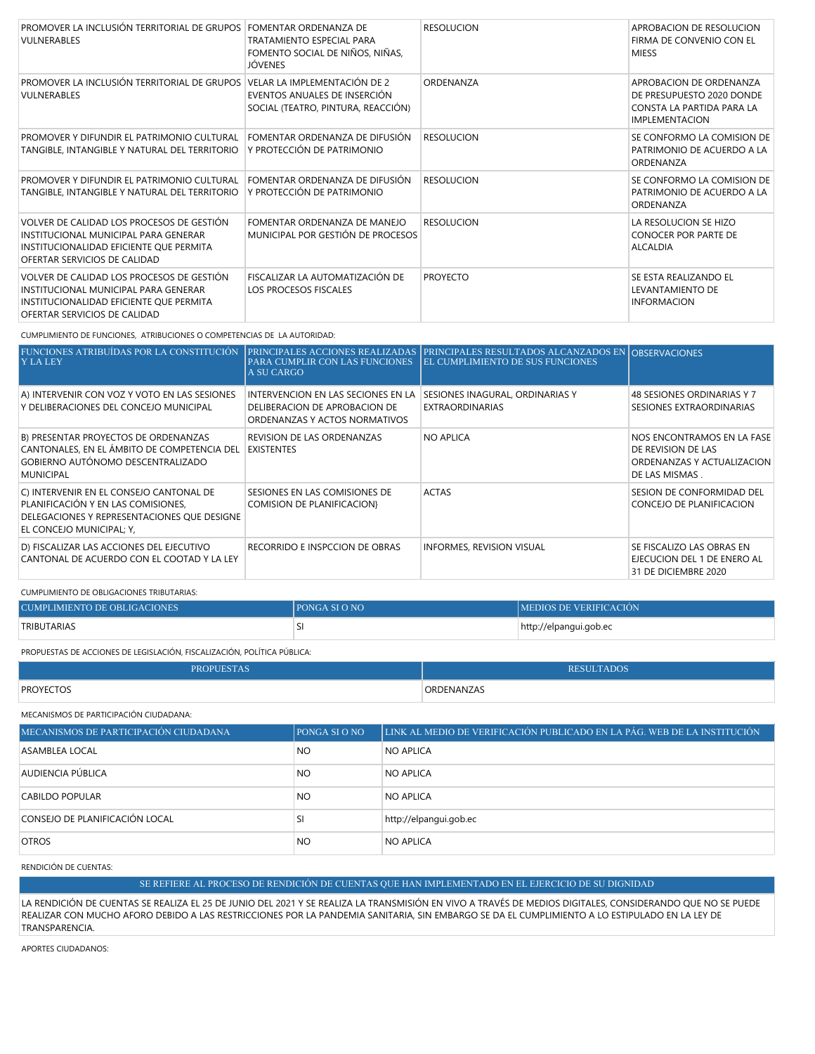| PROMOVER LA INCLUSIÓN TERRITORIAL DE GRUPOS<br>VULNERABLES                                                                                                   | <b>FOMENTAR ORDENANZA DE</b><br>TRATAMIENTO ESPECIAL PARA<br>FOMENTO SOCIAL DE NIÑOS, NIÑAS,<br>JÓVENES | <b>RESOLUCION</b> | APROBACION DE RESOLUCION<br>FIRMA DE CONVENIO CON EL<br><b>MIESS</b>                                       |
|--------------------------------------------------------------------------------------------------------------------------------------------------------------|---------------------------------------------------------------------------------------------------------|-------------------|------------------------------------------------------------------------------------------------------------|
| PROMOVER LA INCLUSIÓN TERRITORIAL DE GRUPOS VELAR LA IMPLEMENTACIÓN DE 2<br>VULNERABLES                                                                      | EVENTOS ANUALES DE INSERCIÓN<br>SOCIAL (TEATRO, PINTURA, REACCIÓN)                                      | ORDENANZA         | APROBACION DE ORDENANZA<br>DE PRESUPUESTO 2020 DONDE<br>CONSTA LA PARTIDA PARA LA<br><b>IMPLEMENTACION</b> |
| PROMOVER Y DIFUNDIR EL PATRIMONIO CULTURAL<br>TANGIBLE, INTANGIBLE Y NATURAL DEL TERRITORIO                                                                  | FOMENTAR ORDENANZA DE DIFUSIÓN<br>Y PROTECCIÓN DE PATRIMONIO                                            | <b>RESOLUCION</b> | SE CONFORMO LA COMISION DE<br>PATRIMONIO DE ACUERDO A LA<br>ORDENANZA                                      |
| PROMOVER Y DIFUNDIR EL PATRIMONIO CULTURAL<br>TANGIBLE, INTANGIBLE Y NATURAL DEL TERRITORIO                                                                  | FOMENTAR ORDENANZA DE DIFUSIÓN<br>Y PROTECCIÓN DE PATRIMONIO                                            | <b>RESOLUCION</b> | SE CONFORMO LA COMISION DE<br>PATRIMONIO DE ACUERDO A LA<br>ORDENANZA                                      |
| VOLVER DE CALIDAD LOS PROCESOS DE GESTIÓN<br>INSTITUCIONAL MUNICIPAL PARA GENERAR<br>INSTITUCIONALIDAD EFICIENTE QUE PERMITA<br>OFERTAR SERVICIOS DE CALIDAD | FOMENTAR ORDENANZA DE MANEJO<br>MUNICIPAL POR GESTIÓN DE PROCESOS                                       | <b>RESOLUCION</b> | LA RESOLUCION SE HIZO<br>CONOCER POR PARTE DE<br><b>ALCALDIA</b>                                           |
| VOLVER DE CALIDAD LOS PROCESOS DE GESTIÓN<br>INSTITUCIONAL MUNICIPAL PARA GENERAR<br>INSTITUCIONALIDAD EFICIENTE QUE PERMITA<br>OFERTAR SERVICIOS DE CALIDAD | FISCALIZAR LA AUTOMATIZACIÓN DE<br>LOS PROCESOS FISCALES                                                | <b>PROYECTO</b>   | SE ESTA REALIZANDO EL<br>LEVANTAMIENTO DE<br><b>INFORMACION</b>                                            |

CUMPLIMIENTO DE FUNCIONES, ATRIBUCIONES O COMPETENCIAS DE LA AUTORIDAD:

| FUNCIONES ATRIBUÍDAS POR LA CONSTITUCIÓN<br><b>Y LA LEY</b>                                                                                              | PARA CUMPLIR CON LAS FUNCIONES<br>A SU CARGO                                                         | PRINCIPALES ACCIONES REALIZADAS PRINCIPALES RESULTADOS ALCANZADOS EN OBSERVACIONES<br><b>EL CUMPLIMIENTO DE SUS FUNCIONES</b> |                                                                                                  |
|----------------------------------------------------------------------------------------------------------------------------------------------------------|------------------------------------------------------------------------------------------------------|-------------------------------------------------------------------------------------------------------------------------------|--------------------------------------------------------------------------------------------------|
| A) INTERVENIR CON VOZ Y VOTO EN LAS SESIONES<br>Y DELIBERACIONES DEL CONCEJO MUNICIPAL                                                                   | INTERVENCION EN LAS SECIONES EN LA<br>DELIBERACION DE APROBACION DE<br>ORDENANZAS Y ACTOS NORMATIVOS | SESIONES INAGURAL, ORDINARIAS Y<br><b>EXTRAORDINARIAS</b>                                                                     | 48 SESIONES ORDINARIAS Y 7<br>SESIONES EXTRAORDINARIAS                                           |
| B) PRESENTAR PROYECTOS DE ORDENANZAS<br>CANTONALES, EN EL ÁMBITO DE COMPETENCIA DEL<br>GOBIERNO AUTÓNOMO DESCENTRALIZADO<br><b>MUNICIPAL</b>             | REVISION DE LAS ORDENANZAS<br><b>EXISTENTES</b>                                                      | <b>NO APLICA</b>                                                                                                              | NOS ENCONTRAMOS EN LA FASE<br>DE REVISION DE LAS<br>ORDENANZAS Y ACTUALIZACION<br>DE LAS MISMAS. |
| C) INTERVENIR EN EL CONSEJO CANTONAL DE<br>PLANIFICACIÓN Y EN LAS COMISIONES.<br>DELEGACIONES Y REPRESENTACIONES QUE DESIGNE<br>EL CONCEJO MUNICIPAL; Y, | SESIONES EN LAS COMISIONES DE<br><b>COMISION DE PLANIFICACION}</b>                                   | <b>ACTAS</b>                                                                                                                  | SESION DE CONFORMIDAD DEL<br>CONCEJO DE PLANIFICACION                                            |
| D) FISCALIZAR LAS ACCIONES DEL EJECUTIVO<br>CANTONAL DE ACUERDO CON EL COOTAD Y LA LEY                                                                   | RECORRIDO E INSPCCION DE OBRAS                                                                       | INFORMES, REVISION VISUAL                                                                                                     | SE FISCALIZO LAS OBRAS EN<br>EJECUCION DEL 1 DE ENERO AL<br>31 DE DICIEMBRE 2020                 |

CUMPLIMIENTO DE OBLIGACIONES TRIBUTARIAS:

| CUMPLIMIENTO DE OBLIGACIONES | <b>IPONGA SI O NO</b> | <b>IMEDIOS DE VERIFICACIÓN</b> |
|------------------------------|-----------------------|--------------------------------|
| TRIBUTARIAS                  | ◡                     | http://elpangui.gob.ec         |

PROPUESTAS DE ACCIONES DE LEGISLACIÓN, FISCALIZACIÓN, POLÍTICA PÚBLICA:

| <b>PROPUESTAS</b> | <b>RESULTADOS</b>                                                     |
|-------------------|-----------------------------------------------------------------------|
| <b>PROYECTOS</b>  | ORDENANZAS<br>$\sim$ $\sim$ $\sim$ $\sim$ $\sim$ $\sim$ $\sim$ $\sim$ |

MECANISMOS DE PARTICIPACIÓN CIUDADANA:

| MECANISMOS DE PARTICIPACIÓN CIUDADANA | <b>PONGA SI O NO</b> | LINK AL MEDIO DE VERIFICACIÓN PUBLICADO EN LA PÁG. WEB DE LA INSTITUCIÓN |
|---------------------------------------|----------------------|--------------------------------------------------------------------------|
| ASAMBLEA LOCAL                        | NO.                  | <b>NO APLICA</b>                                                         |
| AUDIENCIA PÚBLICA                     | <b>NO</b>            | <b>NO APLICA</b>                                                         |
| CABILDO POPULAR                       | NO.                  | <b>NO APLICA</b>                                                         |
| CONSEJO DE PLANIFICACIÓN LOCAL        | SI                   | http://elpangui.gob.ec                                                   |
| <b>OTROS</b>                          | NO.                  | <b>NO APLICA</b>                                                         |

RENDICIÓN DE CUENTAS:

SE REFIERE AL PROCESO DE RENDICIÓN DE CUENTAS QUE HAN IMPLEMENTADO EN EL EJERCICIO DE SU DIGNIDAD

LA RENDICIÓN DE CUENTAS SE REALIZA EL 25 DE JUNIO DEL 2021 Y SE REALIZA LA TRANSMISIÓN EN VIVO A TRAVÉS DE MEDIOS DIGITALES, CONSIDERANDO QUE NO SE PUEDE REALIZAR CON MUCHO AFORO DEBIDO A LAS RESTRICCIONES POR LA PANDEMIA SANITARIA, SIN EMBARGO SE DA EL CUMPLIMIENTO A LO ESTIPULADO EN LA LEY DE TRANSPARENCIA.

APORTES CIUDADANOS: